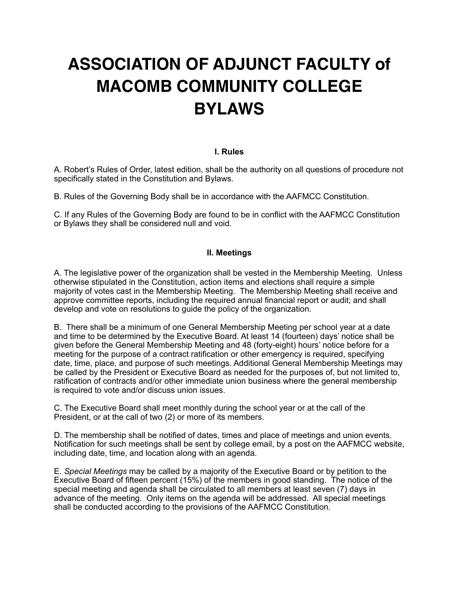# **ASSOCIATION OF ADJUNCT FACULTY of MACOMB COMMUNITY COLLEGE BYLAWS**

# **I. Rules**

A. Robert's Rules of Order, latest edition, shall be the authority on all questions of procedure not specifically stated in the Constitution and Bylaws.

B. Rules of the Governing Body shall be in accordance with the AAFMCC Constitution.

C. If any Rules of the Governing Body are found to be in conflict with the AAFMCC Constitution or Bylaws they shall be considered null and void.

#### **II. Meetings**

A. The legislative power of the organization shall be vested in the Membership Meeting. Unless otherwise stipulated in the Constitution, action items and elections shall require a simple majority of votes cast in the Membership Meeting. The Membership Meeting shall receive and approve committee reports, including the required annual financial report or audit; and shall develop and vote on resolutions to guide the policy of the organization.

B. There shall be a minimum of one General Membership Meeting per school year at a date and time to be determined by the Executive Board. At least 14 (fourteen) days' notice shall be given before the General Membership Meeting and 48 (forty-eight) hours' notice before for a meeting for the purpose of a contract ratification or other emergency is required, specifying date, time, place, and purpose of such meetings. Additional General Membership Meetings may be called by the President or Executive Board as needed for the purposes of, but not limited to, ratification of contracts and/or other immediate union business where the general membership is required to vote and/or discuss union issues.

C. The Executive Board shall meet monthly during the school year or at the call of the President, or at the call of two (2) or more of its members.

D. The membership shall be notified of dates, times and place of meetings and union events. Notification for such meetings shall be sent by college email, by a post on the AAFMCC website, including date, time, and location along with an agenda.

E. *Special Meetings* may be called by a majority of the Executive Board or by petition to the Executive Board of fifteen percent (15%) of the members in good standing. The notice of the special meeting and agenda shall be circulated to all members at least seven (7) days in advance of the meeting. Only items on the agenda will be addressed. All special meetings shall be conducted according to the provisions of the AAFMCC Constitution.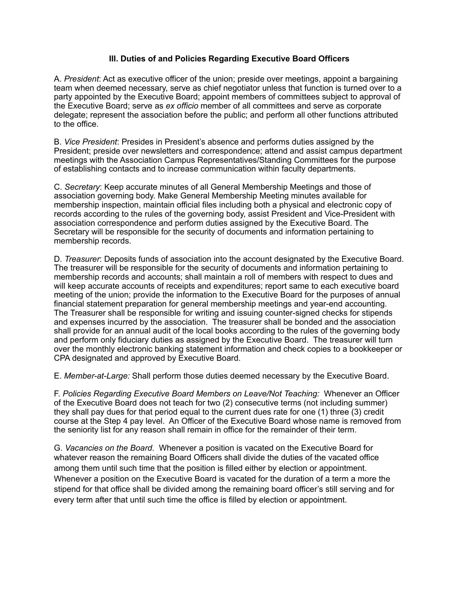# **III. Duties of and Policies Regarding Executive Board Officers**

A. *President*: Act as executive officer of the union; preside over meetings, appoint a bargaining team when deemed necessary, serve as chief negotiator unless that function is turned over to a party appointed by the Executive Board; appoint members of committees subject to approval of the Executive Board; serve as *ex officio* member of all committees and serve as corporate delegate; represent the association before the public; and perform all other functions attributed to the office.

B. *Vice President*: Presides in President's absence and performs duties assigned by the President; preside over newsletters and correspondence; attend and assist campus department meetings with the Association Campus Representatives/Standing Committees for the purpose of establishing contacts and to increase communication within faculty departments.

C. *Secretary*: Keep accurate minutes of all General Membership Meetings and those of association governing body. Make General Membership Meeting minutes available for membership inspection, maintain official files including both a physical and electronic copy of records according to the rules of the governing body, assist President and Vice-President with association correspondence and perform duties assigned by the Executive Board. The Secretary will be responsible for the security of documents and information pertaining to membership records.

D. *Treasurer*: Deposits funds of association into the account designated by the Executive Board. The treasurer will be responsible for the security of documents and information pertaining to membership records and accounts; shall maintain a roll of members with respect to dues and will keep accurate accounts of receipts and expenditures; report same to each executive board meeting of the union; provide the information to the Executive Board for the purposes of annual financial statement preparation for general membership meetings and year-end accounting. The Treasurer shall be responsible for writing and issuing counter-signed checks for stipends and expenses incurred by the association. The treasurer shall be bonded and the association shall provide for an annual audit of the local books according to the rules of the governing body and perform only fiduciary duties as assigned by the Executive Board. The treasurer will turn over the monthly electronic banking statement information and check copies to a bookkeeper or CPA designated and approved by Executive Board.

E. *Member-at-Large:* Shall perform those duties deemed necessary by the Executive Board.

F. *Policies Regarding Executive Board Members on Leave/Not Teaching:* Whenever an Officer of the Executive Board does not teach for two (2) consecutive terms (not including summer) they shall pay dues for that period equal to the current dues rate for one (1) three (3) credit course at the Step 4 pay level. An Officer of the Executive Board whose name is removed from the seniority list for any reason shall remain in office for the remainder of their term.

G. *Vacancies on the Board.* Whenever a position is vacated on the Executive Board for whatever reason the remaining Board Officers shall divide the duties of the vacated office among them until such time that the position is filled either by election or appointment. Whenever a position on the Executive Board is vacated for the duration of a term a more the stipend for that office shall be divided among the remaining board officer's still serving and for every term after that until such time the office is filled by election or appointment.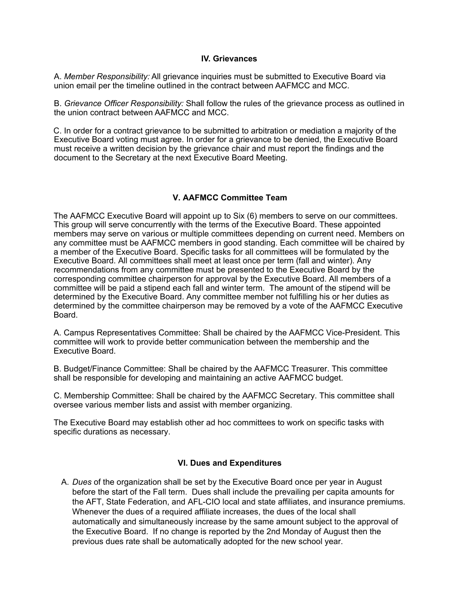#### **IV. Grievances**

A. *Member Responsibility:* All grievance inquiries must be submitted to Executive Board via union email per the timeline outlined in the contract between AAFMCC and MCC.

B. *Grievance Officer Responsibility:* Shall follow the rules of the grievance process as outlined in the union contract between AAFMCC and MCC.

C. In order for a contract grievance to be submitted to arbitration or mediation a majority of the Executive Board voting must agree. In order for a grievance to be denied, the Executive Board must receive a written decision by the grievance chair and must report the findings and the document to the Secretary at the next Executive Board Meeting.

# **V. AAFMCC Committee Team**

The AAFMCC Executive Board will appoint up to Six (6) members to serve on our committees. This group will serve concurrently with the terms of the Executive Board. These appointed members may serve on various or multiple committees depending on current need. Members on any committee must be AAFMCC members in good standing. Each committee will be chaired by a member of the Executive Board. Specific tasks for all committees will be formulated by the Executive Board. All committees shall meet at least once per term (fall and winter). Any recommendations from any committee must be presented to the Executive Board by the corresponding committee chairperson for approval by the Executive Board. All members of a committee will be paid a stipend each fall and winter term. The amount of the stipend will be determined by the Executive Board. Any committee member not fulfilling his or her duties as determined by the committee chairperson may be removed by a vote of the AAFMCC Executive Board.

A. Campus Representatives Committee: Shall be chaired by the AAFMCC Vice-President. This committee will work to provide better communication between the membership and the Executive Board.

B. Budget/Finance Committee: Shall be chaired by the AAFMCC Treasurer. This committee shall be responsible for developing and maintaining an active AAFMCC budget.

C. Membership Committee: Shall be chaired by the AAFMCC Secretary. This committee shall oversee various member lists and assist with member organizing.

The Executive Board may establish other ad hoc committees to work on specific tasks with specific durations as necessary.

# **VI. Dues and Expenditures**

A. *Dues* of the organization shall be set by the Executive Board once per year in August before the start of the Fall term. Dues shall include the prevailing per capita amounts for the AFT, State Federation, and AFL-CIO local and state affiliates, and insurance premiums. Whenever the dues of a required affiliate increases, the dues of the local shall automatically and simultaneously increase by the same amount subject to the approval of the Executive Board. If no change is reported by the 2nd Monday of August then the previous dues rate shall be automatically adopted for the new school year.